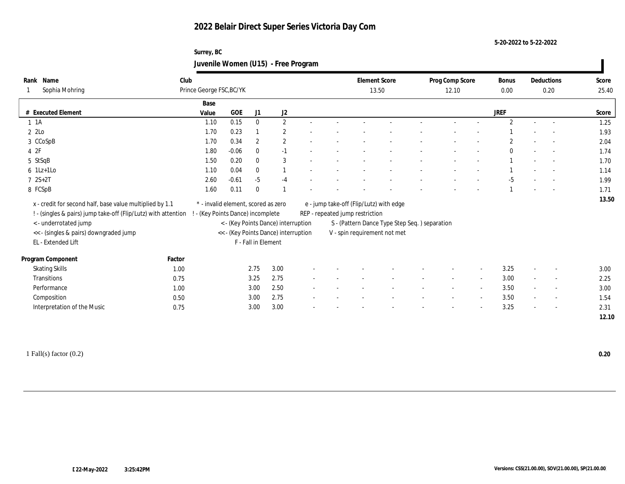**5-20-2022 to 5-22-2022**

## **Surrey, BC Juvenile Women (U15) - Free Program**

| Name<br>Rank                                                   | Club   |                                     |         |                     |                                      |                          |                                 | <b>Element Score</b>                          | Prog Comp Score |                          | Bonus          |                          | Deductions               | Score |
|----------------------------------------------------------------|--------|-------------------------------------|---------|---------------------|--------------------------------------|--------------------------|---------------------------------|-----------------------------------------------|-----------------|--------------------------|----------------|--------------------------|--------------------------|-------|
| Sophia Mohring                                                 |        | Prince George FSC, BC/YK            |         |                     |                                      |                          |                                 | 13.50                                         | 12.10           |                          | 0.00           |                          | 0.20                     | 25.40 |
|                                                                |        | Base                                |         |                     |                                      |                          |                                 |                                               |                 |                          |                |                          |                          |       |
| # Executed Element                                             |        | Value                               | GOE     | J1                  | J2                                   |                          |                                 |                                               |                 |                          | <b>JREF</b>    |                          |                          | Score |
| $1 \t1A$                                                       |        | 1.10                                | 0.15    | $\mathbf{0}$        | $\mathbf{2}$                         | $\sim$                   |                                 |                                               |                 |                          | $\overline{2}$ | $\sim$                   | $\overline{\phantom{a}}$ | 1.25  |
| 2 2Lo                                                          |        | 1.70                                | 0.23    |                     | $\mathbf{2}$                         |                          |                                 |                                               |                 |                          |                |                          |                          | 1.93  |
| 3 CCoSpB                                                       |        | 1.70                                | 0.34    | $\overline{2}$      | $\overline{2}$                       |                          |                                 |                                               |                 |                          |                |                          |                          | 2.04  |
| 4 2F                                                           |        | 1.80                                | $-0.06$ | $\bf{0}$            | $-1$                                 |                          |                                 |                                               |                 |                          | $\mathbf{0}$   |                          | $\sim$                   | 1.74  |
| 5 StSqB                                                        |        | 1.50                                | 0.20    | $\bf{0}$            | 3                                    |                          |                                 |                                               |                 |                          |                |                          | $\overline{a}$           | 1.70  |
| $6$ 1Lz+1Lo                                                    |        | 1.10                                | 0.04    | $\mathbf{0}$        | $\mathbf{1}$                         |                          |                                 |                                               |                 |                          |                |                          |                          | 1.14  |
| $72S+2T$                                                       |        | 2.60                                | $-0.61$ | $-5$                | $-4$                                 |                          |                                 |                                               |                 |                          | $-5$           |                          |                          | 1.99  |
| 8 FCSpB                                                        |        | 1.60                                | 0.11    | $\bf{0}$            |                                      |                          |                                 |                                               |                 |                          |                |                          |                          | 1.71  |
| x - credit for second half, base value multiplied by 1.1       |        | * - invalid element, scored as zero |         |                     |                                      |                          |                                 | e - jump take-off (Flip/Lutz) with edge       |                 |                          |                |                          |                          | 13.50 |
| ! - (singles & pairs) jump take-off (Flip/Lutz) with attention |        | (Key Points Dance) incomplete       |         |                     |                                      |                          | REP - repeated jump restriction |                                               |                 |                          |                |                          |                          |       |
| < - underrotated jump                                          |        |                                     |         |                     | < - (Key Points Dance) interruption  |                          |                                 | S - (Pattern Dance Type Step Seq.) separation |                 |                          |                |                          |                          |       |
| << - (singles & pairs) downgraded jump                         |        |                                     |         |                     | << - (Key Points Dance) interruption |                          |                                 | V - spin requirement not met                  |                 |                          |                |                          |                          |       |
| EL - Extended Lift                                             |        |                                     |         | F - Fall in Element |                                      |                          |                                 |                                               |                 |                          |                |                          |                          |       |
| Program Component                                              | Factor |                                     |         |                     |                                      |                          |                                 |                                               |                 |                          |                |                          |                          |       |
| <b>Skating Skills</b>                                          | 1.00   |                                     |         | 2.75                | 3.00                                 |                          |                                 |                                               |                 | $\overline{\phantom{a}}$ | 3.25           |                          | $\overline{\phantom{a}}$ | 3.00  |
| Transitions                                                    | 0.75   |                                     |         | 3.25                | 2.75                                 |                          |                                 |                                               |                 | $\overline{a}$           | 3.00           |                          | $\sim$                   | 2.25  |
| Performance                                                    | 1.00   |                                     |         | 3.00                | 2.50                                 |                          |                                 |                                               |                 | $\overline{\phantom{a}}$ | 3.50           |                          | $\sim$                   | 3.00  |
| Composition                                                    | 0.50   |                                     |         | 3.00                | 2.75                                 | $\overline{\phantom{a}}$ |                                 |                                               |                 | $\overline{\phantom{a}}$ | 3.50           | $\overline{\phantom{a}}$ | $\sim$                   | 1.54  |
| Interpretation of the Music                                    | 0.75   |                                     |         | 3.00                | 3.00                                 |                          |                                 |                                               |                 | $\overline{\phantom{a}}$ | 3.25           |                          | $\overline{\phantom{a}}$ | 2.31  |
|                                                                |        |                                     |         |                     |                                      |                          |                                 |                                               |                 |                          |                |                          |                          | 12.10 |
|                                                                |        |                                     |         |                     |                                      |                          |                                 |                                               |                 |                          |                |                          |                          |       |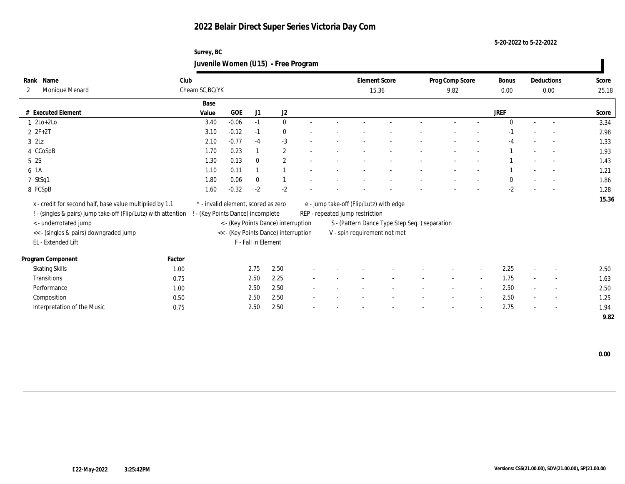**5-20-2022 to 5-22-2022**

## **Surrey, BC Juvenile Women (U15) - Free Program**

| Name<br>Rank                                                   | Club            |                                     |                     |                                      |                          |                                 | <b>Element Score</b>                          | Prog Comp Score |                          | <b>Bonus</b> |        | Deductions               | Score |
|----------------------------------------------------------------|-----------------|-------------------------------------|---------------------|--------------------------------------|--------------------------|---------------------------------|-----------------------------------------------|-----------------|--------------------------|--------------|--------|--------------------------|-------|
| Monique Menard<br>$\mathbf{2}$                                 | Cheam SC, BC/YK |                                     |                     |                                      |                          |                                 | 15.36                                         | 9.82            |                          | 0.00         |        | 0.00                     | 25.18 |
|                                                                |                 | Base                                |                     |                                      |                          |                                 |                                               |                 |                          |              |        |                          |       |
| # Executed Element                                             |                 | GOE<br>Value                        | J1                  | J2                                   |                          |                                 |                                               |                 |                          | <b>JREF</b>  |        |                          | Score |
| $1 \text{2Lo}+2\text{Lo}$                                      |                 | $-0.06$<br>3.40                     | $-1$                | $\bf{0}$                             |                          |                                 |                                               |                 |                          | $\Omega$     |        |                          | 3.34  |
| $2 F + 2T$                                                     |                 | 3.10<br>$-0.12$                     | $-1$                | $\mathbf{0}$                         |                          |                                 |                                               |                 |                          | -1           |        | $\overline{a}$           | 2.98  |
| $3$ $2Lz$                                                      |                 | $-0.77$<br>2.10                     | $-4$                | $-3$                                 |                          |                                 |                                               |                 |                          |              |        |                          | 1.33  |
| 4 CCoSpB                                                       |                 | 0.23<br>1.70                        |                     | 2                                    |                          |                                 |                                               |                 |                          |              |        | $\overline{a}$           | 1.93  |
| 5 2S                                                           |                 | 1.30<br>0.13                        | $\bf{0}$            | $\mathbf{2}$                         |                          |                                 |                                               |                 |                          |              |        | $\sim$                   | 1.43  |
| 6 1A                                                           |                 | 0.11<br>1.10                        |                     |                                      |                          |                                 |                                               |                 |                          |              |        |                          | 1.21  |
| 7 StSq1                                                        |                 | 0.06<br>1.80                        | $\bf{0}$            |                                      |                          |                                 |                                               |                 |                          | $\theta$     |        |                          | 1.86  |
| 8 FCSpB                                                        |                 | $-0.32$<br>1.60                     | $-2$                | $-2$                                 |                          |                                 |                                               |                 |                          | $-2$         |        | $\overline{\phantom{a}}$ | 1.28  |
| x - credit for second half, base value multiplied by 1.1       |                 | * - invalid element, scored as zero |                     |                                      |                          |                                 | e - jump take-off (Flip/Lutz) with edge       |                 |                          |              |        |                          | 15.36 |
| ! - (singles & pairs) jump take-off (Flip/Lutz) with attention |                 | - (Key Points Dance) incomplete     |                     |                                      |                          | REP - repeated jump restriction |                                               |                 |                          |              |        |                          |       |
| < - underrotated jump                                          |                 |                                     |                     | < - (Key Points Dance) interruption  |                          |                                 | S - (Pattern Dance Type Step Seq.) separation |                 |                          |              |        |                          |       |
| << - (singles & pairs) downgraded jump                         |                 |                                     |                     | << - (Key Points Dance) interruption |                          |                                 | V - spin requirement not met                  |                 |                          |              |        |                          |       |
| EL - Extended Lift                                             |                 |                                     | F - Fall in Element |                                      |                          |                                 |                                               |                 |                          |              |        |                          |       |
|                                                                |                 |                                     |                     |                                      |                          |                                 |                                               |                 |                          |              |        |                          |       |
| Program Component                                              | Factor          |                                     |                     |                                      |                          |                                 |                                               |                 |                          |              |        |                          |       |
| <b>Skating Skills</b>                                          | 1.00            |                                     | 2.75                | 2.50                                 |                          |                                 |                                               |                 |                          | 2.25         |        | $\overline{\phantom{a}}$ | 2.50  |
| Transitions                                                    | 0.75            |                                     | 2.50                | 2.25                                 | $\overline{\phantom{a}}$ |                                 |                                               | $\sim$          | $\sim$                   | 1.75         | $\sim$ | $\sim$                   | 1.63  |
| Performance                                                    | 1.00            |                                     | 2.50                | 2.50                                 |                          |                                 |                                               |                 | $\overline{\phantom{a}}$ | 2.50         |        | $\overline{\phantom{a}}$ | 2.50  |
| Composition                                                    | 0.50            |                                     | 2.50                | 2.50                                 |                          |                                 |                                               |                 | $\overline{\phantom{a}}$ | 2.50         |        | $\sim$                   | 1.25  |
| Interpretation of the Music                                    | 0.75            |                                     | 2.50                | 2.50                                 |                          |                                 |                                               |                 |                          | 2.75         |        | $\sim$                   | 1.94  |
|                                                                |                 |                                     |                     |                                      |                          |                                 |                                               |                 |                          |              |        |                          | 9.82  |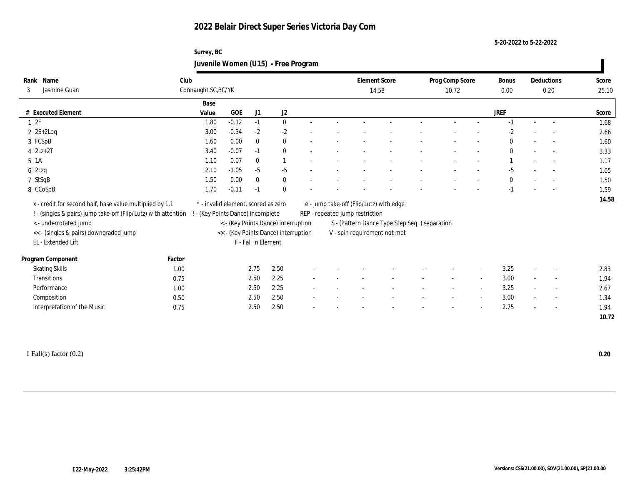**5-20-2022 to 5-22-2022**

## **Surrey, BC Juvenile Women (U15) - Free Program**

| Rank | Name                                                           | Club                            |                                     |                     |                                      |  | <b>Element Score</b>                    |                                               | Prog Comp Score |                          | <b>Bonus</b> |                          | Deductions               | Score |
|------|----------------------------------------------------------------|---------------------------------|-------------------------------------|---------------------|--------------------------------------|--|-----------------------------------------|-----------------------------------------------|-----------------|--------------------------|--------------|--------------------------|--------------------------|-------|
| 3    | Jasmine Guan                                                   | Connaught SC, BC/YK             |                                     |                     |                                      |  | 14.58                                   |                                               | 10.72           |                          | 0.00         |                          | 0.20                     | 25.10 |
|      |                                                                | Base                            |                                     |                     |                                      |  |                                         |                                               |                 |                          |              |                          |                          |       |
|      | # Executed Element                                             | Value                           | <b>GOE</b>                          | J1                  | $\mathrm{J}2$                        |  |                                         |                                               |                 |                          | <b>JREF</b>  |                          |                          | Score |
|      | 12F                                                            | 1.80                            | $-0.12$                             | $-1$                | $\mathbf{0}$                         |  |                                         |                                               |                 |                          | $-1$         |                          |                          | 1.68  |
|      | $2 \text{ } 2S+2\text{Log}$                                    | 3.00                            | $-0.34$                             | $-2$                | $-2$                                 |  |                                         |                                               |                 |                          | $-2$         |                          |                          | 2.66  |
|      | 3 FCSpB                                                        | 1.60                            | 0.00                                | $\mathbf{0}$        | $\bf{0}$                             |  |                                         |                                               |                 |                          | $\mathbf{0}$ |                          |                          | 1.60  |
|      | $4$ $2Lz+2T$                                                   | 3.40                            | $-0.07$                             | $-1$                | $\bf{0}$                             |  |                                         |                                               |                 |                          | $\mathbf{0}$ |                          | $\sim$                   | 3.33  |
|      | $5 \; 1A$                                                      | 1.10                            | 0.07                                | $\bf{0}$            | $\mathbf{1}$                         |  |                                         |                                               |                 |                          |              |                          | $\sim$                   | 1.17  |
|      | $6$ 2Lzq                                                       | 2.10                            | $-1.05$                             | $-5$                | $-5$                                 |  |                                         |                                               |                 |                          | $-5$         |                          | $\overline{a}$           | 1.05  |
|      | 7 StSqB                                                        | 1.50                            | 0.00                                | $\mathbf{0}$        | $\bf{0}$                             |  |                                         |                                               |                 |                          | $\mathbf{0}$ |                          |                          | 1.50  |
|      | 8 CCoSpB                                                       | 1.70                            | $-0.11$                             | $-1$                | $\bf{0}$                             |  |                                         |                                               |                 |                          | $-1$         |                          |                          | 1.59  |
|      | x - credit for second half, base value multiplied by 1.1       |                                 | * - invalid element, scored as zero |                     |                                      |  | e - jump take-off (Flip/Lutz) with edge |                                               |                 |                          |              |                          |                          | 14.58 |
|      | ! - (singles & pairs) jump take-off (Flip/Lutz) with attention | - (Key Points Dance) incomplete |                                     |                     |                                      |  | REP - repeated jump restriction         |                                               |                 |                          |              |                          |                          |       |
|      | < - underrotated jump                                          |                                 |                                     |                     | < - (Key Points Dance) interruption  |  |                                         | S - (Pattern Dance Type Step Seq.) separation |                 |                          |              |                          |                          |       |
|      | << - (singles & pairs) downgraded jump                         |                                 |                                     |                     | << - (Key Points Dance) interruption |  |                                         | V - spin requirement not met                  |                 |                          |              |                          |                          |       |
|      | EL - Extended Lift                                             |                                 |                                     | F - Fall in Element |                                      |  |                                         |                                               |                 |                          |              |                          |                          |       |
|      |                                                                |                                 |                                     |                     |                                      |  |                                         |                                               |                 |                          |              |                          |                          |       |
|      | Program Component                                              | Factor                          |                                     |                     |                                      |  |                                         |                                               |                 |                          |              |                          |                          |       |
|      | <b>Skating Skills</b>                                          | 1.00                            |                                     | 2.75                | 2.50                                 |  |                                         |                                               |                 | $\sim$                   | 3.25         |                          | $\sim$                   | 2.83  |
|      | Transitions                                                    | 0.75                            |                                     | 2.50                | 2.25                                 |  |                                         |                                               |                 | $\sim$                   | 3.00         |                          | $\overline{\phantom{a}}$ | 1.94  |
|      | Performance                                                    | 1.00                            |                                     | 2.50                | 2.25                                 |  |                                         |                                               |                 | $\sim$                   | 3.25         |                          | $\overline{\phantom{a}}$ | 2.67  |
|      | Composition                                                    | 0.50                            |                                     | 2.50                | 2.50                                 |  |                                         |                                               |                 | $\sim$                   | 3.00         | $\sim$                   | $\sim$                   | 1.34  |
|      | Interpretation of the Music                                    | 0.75                            |                                     | 2.50                | 2.50                                 |  |                                         |                                               |                 | $\overline{\phantom{a}}$ | 2.75         | $\overline{\phantom{a}}$ | $\sim$                   | 1.94  |
|      |                                                                |                                 |                                     |                     |                                      |  |                                         |                                               |                 |                          |              |                          |                          | 10.72 |

1 Fall(s) factor (0.2) **0.20**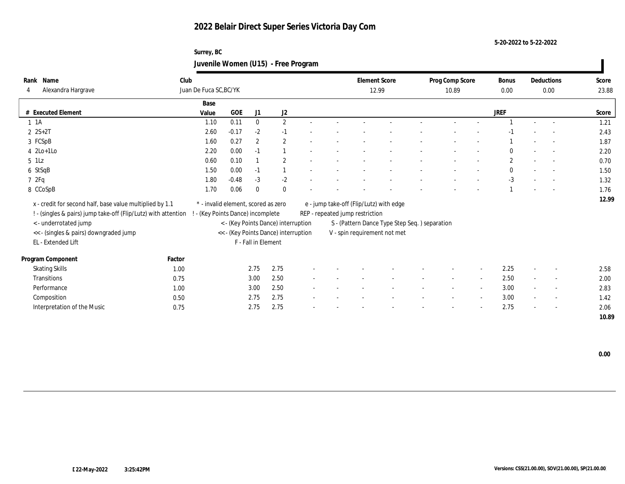**5-20-2022 to 5-22-2022**

## **Surrey, BC Juvenile Women (U15) - Free Program**

| Name<br>Rank                                                   | Club   |                                     |            |                     |                                      |  |                                 | <b>Element Score</b>                           | Prog Comp Score |                          | Bonus            |                          | Deductions               | Score |
|----------------------------------------------------------------|--------|-------------------------------------|------------|---------------------|--------------------------------------|--|---------------------------------|------------------------------------------------|-----------------|--------------------------|------------------|--------------------------|--------------------------|-------|
| Alexandra Hargrave                                             |        | Juan De Fuca SC, BC/YK              |            |                     |                                      |  |                                 | 12.99                                          | 10.89           |                          | 0.00             |                          | 0.00                     | 23.88 |
|                                                                |        | Base                                |            |                     |                                      |  |                                 |                                                |                 |                          |                  |                          |                          |       |
| # Executed Element                                             |        | Value                               | <b>GOE</b> | J1                  | J2                                   |  |                                 |                                                |                 |                          | <b>JREF</b>      |                          |                          | Score |
| $1 \t1A$                                                       |        | 1.10                                | 0.11       | $\bf{0}$            | $\mathbf{2}$                         |  |                                 |                                                |                 |                          |                  | $\sim$                   | $\sim$                   | 1.21  |
| $2 S+2T$                                                       |        | 2.60                                | $-0.17$    | $-2$                | $-1$                                 |  |                                 |                                                |                 |                          |                  |                          |                          | 2.43  |
| 3 FCSpB                                                        |        | 1.60                                | 0.27       | $\overline{2}$      | $\mathbf{2}$                         |  |                                 |                                                |                 |                          |                  |                          |                          | 1.87  |
| $4$ 2Lo+1Lo                                                    |        | 2.20                                | 0.00       | $-1$                |                                      |  |                                 |                                                |                 |                          | $\bf{0}$         |                          | $\sim$                   | 2.20  |
| $5$ 1Lz                                                        |        | 0.60                                | 0.10       |                     | $\mathbf{2}$                         |  |                                 |                                                |                 |                          | $\boldsymbol{2}$ |                          | $\sim$                   | 0.70  |
| 6 StSqB                                                        |        | 1.50                                | 0.00       | $-1$                | $\mathbf{1}$                         |  |                                 |                                                |                 |                          | $\mathbf{0}$     |                          | $\sim$                   | 1.50  |
| 72Fq                                                           |        | 1.80                                | $-0.48$    | $-3$                | $-2$                                 |  |                                 |                                                |                 |                          | $-3$             |                          |                          | 1.32  |
| 8 CCoSpB                                                       |        | 1.70                                | 0.06       | $\mathbf{0}$        | $\bf{0}$                             |  |                                 |                                                |                 |                          |                  |                          |                          | 1.76  |
| x - credit for second half, base value multiplied by 1.1       |        | * - invalid element, scored as zero |            |                     |                                      |  |                                 | e - jump take-off (Flip/Lutz) with edge        |                 |                          |                  |                          |                          | 12.99 |
| ! - (singles & pairs) jump take-off (Flip/Lutz) with attention |        | - (Key Points Dance) incomplete     |            |                     |                                      |  | REP - repeated jump restriction |                                                |                 |                          |                  |                          |                          |       |
| < - underrotated jump                                          |        |                                     |            |                     | < - (Key Points Dance) interruption  |  |                                 | S - (Pattern Dance Type Step Seq. ) separation |                 |                          |                  |                          |                          |       |
| << - (singles & pairs) downgraded jump                         |        |                                     |            |                     | << - (Key Points Dance) interruption |  |                                 | V - spin requirement not met                   |                 |                          |                  |                          |                          |       |
| EL - Extended Lift                                             |        |                                     |            | F - Fall in Element |                                      |  |                                 |                                                |                 |                          |                  |                          |                          |       |
|                                                                |        |                                     |            |                     |                                      |  |                                 |                                                |                 |                          |                  |                          |                          |       |
| Program Component                                              | Factor |                                     |            |                     |                                      |  |                                 |                                                |                 |                          |                  |                          |                          |       |
| <b>Skating Skills</b>                                          | 1.00   |                                     |            | 2.75                | 2.75                                 |  |                                 |                                                |                 |                          | 2.25             | $\overline{\phantom{a}}$ | $\overline{\phantom{a}}$ | 2.58  |
| Transitions                                                    | 0.75   |                                     |            | 3.00                | 2.50                                 |  |                                 |                                                | $\sim$          | $\sim$                   | 2.50             | $\sim$                   | $\sim$                   | 2.00  |
| Performance                                                    | 1.00   |                                     |            | 3.00                | 2.50                                 |  |                                 |                                                |                 | $\overline{\phantom{a}}$ | 3.00             |                          | $\overline{\phantom{a}}$ | 2.83  |
| Composition                                                    | 0.50   |                                     |            | 2.75                | 2.75                                 |  |                                 |                                                |                 |                          | 3.00             | $\sim$                   | $\overline{\phantom{a}}$ | 1.42  |
| Interpretation of the Music                                    | 0.75   |                                     |            | 2.75                | 2.75                                 |  |                                 |                                                |                 |                          | 2.75             |                          | $\sim$                   | 2.06  |
|                                                                |        |                                     |            |                     |                                      |  |                                 |                                                |                 |                          |                  |                          |                          | 10.89 |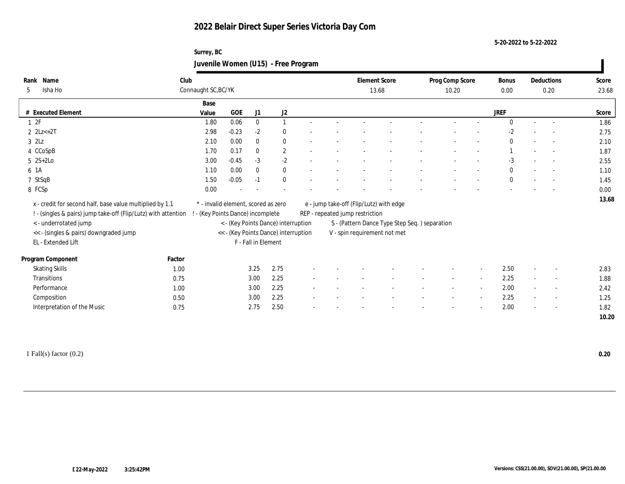**5-20-2022 to 5-22-2022**

## **Surrey, BC Juvenile Women (U15) - Free Program**

| Name<br>Rank                                                     | Club   |                                     |         |                     |                                      |                          |                                 | <b>Element Score</b>                          | Prog Comp Score |                          | Bonus        |                          | Deductions               | Score |
|------------------------------------------------------------------|--------|-------------------------------------|---------|---------------------|--------------------------------------|--------------------------|---------------------------------|-----------------------------------------------|-----------------|--------------------------|--------------|--------------------------|--------------------------|-------|
| Isha Ho<br>5                                                     |        | Connaught SC, BC/YK                 |         |                     |                                      |                          |                                 | 13.68                                         | 10.20           |                          | 0.00         |                          | 0.20                     | 23.68 |
|                                                                  |        | Base                                |         |                     |                                      |                          |                                 |                                               |                 |                          |              |                          |                          |       |
| # Executed Element                                               |        | Value                               | GOE     | J1                  | J2                                   |                          |                                 |                                               |                 |                          | <b>JREF</b>  |                          |                          | Score |
| 12F                                                              |        | 1.80                                | 0.06    | $\mathbf{0}$        | $\mathbf{1}$                         |                          |                                 |                                               |                 |                          | $\Omega$     | $\sim$                   | $\overline{\phantom{a}}$ | 1.86  |
| $2 \text{ } 2Lz \rightarrow 2T$                                  |        | 2.98                                | $-0.23$ | $-2$                | $\mathbf{0}$                         |                          |                                 |                                               |                 |                          | $-2$         |                          | $\overline{\phantom{a}}$ | 2.75  |
| $3$ $2\text{L}z$                                                 |        | 2.10                                | 0.00    | $\mathbf{0}$        | $\bf{0}$                             |                          |                                 |                                               |                 |                          | $\mathbf{0}$ |                          | $\sim$                   | 2.10  |
| 4 CCoSpB                                                         |        | 1.70                                | 0.17    | $\mathbf{0}$        | $\sqrt{2}$                           |                          |                                 |                                               |                 |                          |              |                          | $\sim$                   | 1.87  |
| $5 \quad 2S+2Lo$                                                 |        | 3.00                                | $-0.45$ | $-3$                | $-2$                                 |                          |                                 |                                               |                 |                          | $-3$         |                          | $\sim$                   | 2.55  |
| 6 1A                                                             |        | 1.10                                | 0.00    | $\mathbf{0}$        | $\bf{0}$                             |                          |                                 |                                               |                 |                          | $\mathbf{0}$ |                          | $\overline{\phantom{a}}$ | 1.10  |
| 7 StSqB                                                          |        | 1.50                                | $-0.05$ | $-1$                | $\mathbf{0}$                         |                          |                                 |                                               |                 |                          | $\mathbf{0}$ |                          | $\sim$                   | 1.45  |
| 8 FCSp                                                           |        | 0.00                                |         |                     |                                      |                          |                                 |                                               |                 |                          |              |                          |                          | 0.00  |
| x - credit for second half, base value multiplied by 1.1         |        | * - invalid element, scored as zero |         |                     |                                      |                          |                                 | e - jump take-off (Flip/Lutz) with edge       |                 |                          |              |                          |                          | 13.68 |
| ! - (singles & pairs) jump take-off (Flip/Lutz) with attention ! |        | - (Key Points Dance) incomplete     |         |                     |                                      |                          | REP - repeated jump restriction |                                               |                 |                          |              |                          |                          |       |
| <- underrotated jump                                             |        |                                     |         |                     | < - (Key Points Dance) interruption  |                          |                                 | S - (Pattern Dance Type Step Seq.) separation |                 |                          |              |                          |                          |       |
| << - (singles & pairs) downgraded jump                           |        |                                     |         |                     | << - (Key Points Dance) interruption |                          |                                 | V - spin requirement not met                  |                 |                          |              |                          |                          |       |
| EL - Extended Lift                                               |        |                                     |         | F - Fall in Element |                                      |                          |                                 |                                               |                 |                          |              |                          |                          |       |
|                                                                  |        |                                     |         |                     |                                      |                          |                                 |                                               |                 |                          |              |                          |                          |       |
| Program Component                                                | Factor |                                     |         |                     |                                      |                          |                                 |                                               |                 |                          |              |                          |                          |       |
| <b>Skating Skills</b>                                            | 1.00   |                                     |         | 3.25                | 2.75                                 |                          |                                 |                                               |                 |                          | 2.50         |                          | $\overline{\phantom{a}}$ | 2.83  |
| Transitions                                                      | 0.75   |                                     |         | 3.00                | 2.25                                 |                          |                                 |                                               | $\sim$          | $\sim$                   | 2.25         | $\sim$                   | $\overline{\phantom{a}}$ | 1.88  |
| Performance                                                      | 1.00   |                                     |         | 3.00                | 2.25                                 |                          |                                 |                                               |                 | $\overline{\phantom{a}}$ | 2.00         |                          | $\sim$                   | 2.42  |
| Composition                                                      | 0.50   |                                     |         | 3.00                | 2.25                                 |                          |                                 |                                               |                 | $\overline{\phantom{a}}$ | 2.25         | $\overline{\phantom{a}}$ | $\overline{\phantom{a}}$ | 1.25  |
| Interpretation of the Music                                      | 0.75   |                                     |         | 2.75                | 2.50                                 | $\overline{\phantom{a}}$ |                                 |                                               |                 | $\overline{\phantom{a}}$ | 2.00         | $\sim$                   | $\sim$                   | 1.82  |
|                                                                  |        |                                     |         |                     |                                      |                          |                                 |                                               |                 |                          |              |                          |                          | 10.20 |
|                                                                  |        |                                     |         |                     |                                      |                          |                                 |                                               |                 |                          |              |                          |                          |       |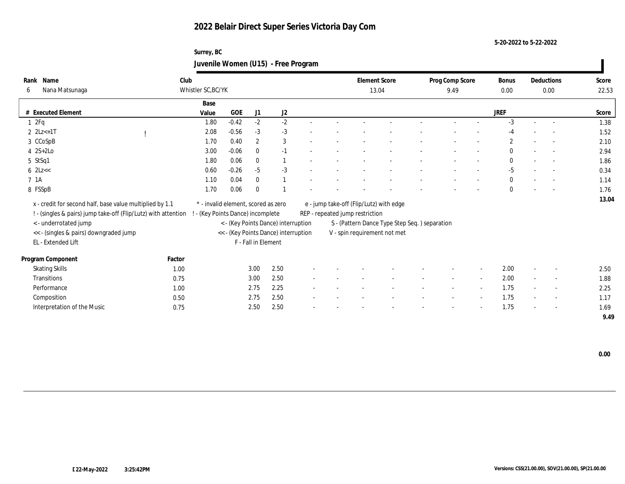**5-20-2022 to 5-22-2022**

## **Surrey, BC Juvenile Women (U15) - Free Program**

| Rank Name                                                      | Club   |                                     |         |                     |                                      |                          |                                 | <b>Element Score</b>                          | Prog Comp Score |                          | <b>Bonus</b>   |        | Deductions               | Score |
|----------------------------------------------------------------|--------|-------------------------------------|---------|---------------------|--------------------------------------|--------------------------|---------------------------------|-----------------------------------------------|-----------------|--------------------------|----------------|--------|--------------------------|-------|
| Nana Matsunaga<br>6                                            |        | Whistler SC, BC/YK                  |         |                     |                                      |                          |                                 | 13.04                                         | 9.49            |                          | 0.00           |        | 0.00                     | 22.53 |
|                                                                |        | Base                                |         |                     |                                      |                          |                                 |                                               |                 |                          |                |        |                          |       |
| # Executed Element                                             |        | Value                               | GOE     | J1                  | J2                                   |                          |                                 |                                               |                 |                          | <b>JREF</b>    |        |                          | Score |
| 12Fq                                                           |        | 1.80                                | $-0.42$ | $-2$                | $-2$                                 |                          |                                 |                                               |                 |                          | $-3$           | $\sim$ | $\overline{a}$           | 1.38  |
| $2 \text{ } 2Lz+1T$                                            |        | 2.08                                | $-0.56$ | $-3$                | $-3$                                 |                          |                                 |                                               |                 |                          |                |        |                          | 1.52  |
| 3 CCoSpB                                                       |        | 1.70                                | 0.40    | $\mathbf{2}$        | 3                                    |                          |                                 |                                               |                 |                          | $\overline{2}$ |        | $\overline{\phantom{a}}$ | 2.10  |
| $4$ 2S+2Lo                                                     |        | 3.00                                | $-0.06$ | $\mathbf{0}$        | $-1$                                 |                          |                                 |                                               |                 |                          | $\mathbf{0}$   |        | $\sim$                   | 2.94  |
| $5$ StSq1                                                      |        | 1.80                                | 0.06    | $\mathbf{0}$        | $\mathbf{1}$                         |                          |                                 |                                               |                 |                          | $\theta$       |        | $\sim$                   | 1.86  |
| $6$ 2Lz $<<$                                                   |        | 0.60                                | $-0.26$ | $-5$                | $-3$                                 |                          |                                 |                                               |                 |                          | $-5$           |        |                          | 0.34  |
| 7 <sub>1A</sub>                                                |        | 1.10                                | 0.04    | $\bf{0}$            | $\mathbf{1}$                         |                          |                                 |                                               |                 |                          | $\mathbf{0}$   |        | $\overline{a}$           | 1.14  |
| 8 FSSpB                                                        |        | 1.70                                | 0.06    | $\bf{0}$            |                                      |                          |                                 |                                               |                 |                          | $\mathbf{0}$   |        | $\overline{\phantom{a}}$ | 1.76  |
| x - credit for second half, base value multiplied by 1.1       |        | * - invalid element, scored as zero |         |                     |                                      |                          |                                 | e - jump take-off (Flip/Lutz) with edge       |                 |                          |                |        |                          | 13.04 |
| ! - (singles & pairs) jump take-off (Flip/Lutz) with attention |        | - (Key Points Dance) incomplete     |         |                     |                                      |                          | REP - repeated jump restriction |                                               |                 |                          |                |        |                          |       |
| < - underrotated jump                                          |        |                                     |         |                     | < - (Key Points Dance) interruption  |                          |                                 | S - (Pattern Dance Type Step Seq.) separation |                 |                          |                |        |                          |       |
| << - (singles & pairs) downgraded jump                         |        |                                     |         |                     | << - (Key Points Dance) interruption |                          |                                 | V - spin requirement not met                  |                 |                          |                |        |                          |       |
| EL - Extended Lift                                             |        |                                     |         | F - Fall in Element |                                      |                          |                                 |                                               |                 |                          |                |        |                          |       |
|                                                                |        |                                     |         |                     |                                      |                          |                                 |                                               |                 |                          |                |        |                          |       |
| Program Component                                              | Factor |                                     |         |                     |                                      |                          |                                 |                                               |                 |                          |                |        |                          |       |
| <b>Skating Skills</b>                                          | 1.00   |                                     |         | 3.00                | 2.50                                 |                          |                                 |                                               |                 |                          | 2.00           |        | $\overline{\phantom{a}}$ | 2.50  |
| Transitions                                                    | 0.75   |                                     |         | 3.00                | 2.50                                 | $\overline{\phantom{a}}$ |                                 |                                               | $\sim$          | $\sim$                   | 2.00           | $\sim$ | $\overline{\phantom{a}}$ | 1.88  |
| Performance                                                    | 1.00   |                                     |         | 2.75                | 2.25                                 |                          |                                 |                                               |                 | $\overline{\phantom{a}}$ | 1.75           |        | $\overline{\phantom{a}}$ | 2.25  |
| Composition                                                    | 0.50   |                                     |         | 2.75                | 2.50                                 |                          |                                 |                                               |                 | $\sim$                   | 1.75           |        | $\sim$                   | 1.17  |
| Interpretation of the Music                                    | 0.75   |                                     |         | 2.50                | 2.50                                 |                          |                                 |                                               |                 | $\overline{\phantom{a}}$ | 1.75           |        | $\sim$                   | 1.69  |
|                                                                |        |                                     |         |                     |                                      |                          |                                 |                                               |                 |                          |                |        |                          | 9.49  |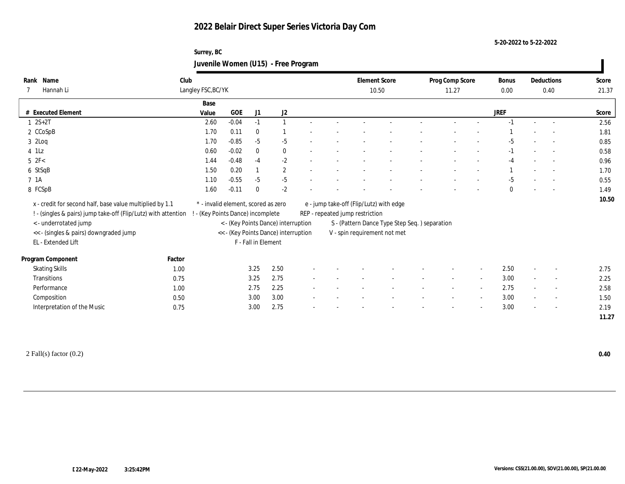**5-20-2022 to 5-22-2022**

## **Surrey, BC Juvenile Women (U15) - Free Program**

| Name<br>Rank                                                   | Club   |                                     |            |                     |                                      |                          |                                 | <b>Element Score</b>                          | Prog Comp Score |                          | Bonus        |                          | Deductions               | Score |
|----------------------------------------------------------------|--------|-------------------------------------|------------|---------------------|--------------------------------------|--------------------------|---------------------------------|-----------------------------------------------|-----------------|--------------------------|--------------|--------------------------|--------------------------|-------|
| Hannah Li                                                      |        | Langley FSC, BC/YK                  |            |                     |                                      |                          |                                 | 10.50                                         | 11.27           |                          | $0.00\,$     |                          | 0.40                     | 21.37 |
|                                                                |        | Base                                |            |                     |                                      |                          |                                 |                                               |                 |                          |              |                          |                          |       |
| # Executed Element                                             |        | Value                               | <b>GOE</b> | J1                  | J2                                   |                          |                                 |                                               |                 |                          | <b>JREF</b>  |                          |                          | Score |
| $1 \ 2S + 2T$                                                  |        | 2.60                                | $-0.04$    | $-1$                | $\mathbf{1}$                         |                          |                                 |                                               |                 |                          | $-1$         | $\sim$                   | $\sim$                   | 2.56  |
| 2 CCoSpB                                                       |        | 1.70                                | 0.11       | $\bf{0}$            |                                      |                          |                                 |                                               |                 |                          |              |                          | $\sim$                   | 1.81  |
| $3$ 2Loq                                                       |        | 1.70                                | $-0.85$    | $-5$                | $-5$                                 |                          |                                 |                                               |                 |                          | $-5$         |                          | $\overline{\phantom{a}}$ | 0.85  |
| $4$ 1Lz                                                        |        | 0.60                                | $-0.02$    | $\bf{0}$            | $\bf{0}$                             | $\sim$                   |                                 |                                               |                 |                          | $-1$         |                          | $\sim$                   | 0.58  |
| $5\text{ }2\text{F}$                                           |        | 1.44                                | $-0.48$    | $-4$                | $-2$                                 |                          |                                 |                                               |                 |                          | -4           |                          | $\overline{a}$           | 0.96  |
| 6 StSqB                                                        |        | 1.50                                | 0.20       | $\mathbf{1}$        | $\mathbf{2}$                         |                          |                                 |                                               |                 |                          |              |                          | $\sim$                   | 1.70  |
| 7 1A                                                           |        | 1.10                                | $-0.55$    | $-5$                | $-5$                                 |                          |                                 |                                               |                 |                          | $-5$         |                          |                          | 0.55  |
| 8 FCSpB                                                        |        | 1.60                                | $-0.11$    | $\mathbf{0}$        | $-2$                                 |                          |                                 |                                               |                 |                          | $\mathbf{0}$ |                          | $\overline{\phantom{a}}$ | 1.49  |
| x - credit for second half, base value multiplied by 1.1       |        | * - invalid element, scored as zero |            |                     |                                      |                          |                                 | e - jump take-off (Flip/Lutz) with edge       |                 |                          |              |                          |                          | 10.50 |
| ! - (singles & pairs) jump take-off (Flip/Lutz) with attention |        | - (Key Points Dance) incomplete     |            |                     |                                      |                          | REP - repeated jump restriction |                                               |                 |                          |              |                          |                          |       |
| <- underrotated jump                                           |        |                                     |            |                     | < - (Key Points Dance) interruption  |                          |                                 | S - (Pattern Dance Type Step Seq.) separation |                 |                          |              |                          |                          |       |
| << - (singles & pairs) downgraded jump                         |        |                                     |            |                     | << - (Key Points Dance) interruption |                          |                                 | V - spin requirement not met                  |                 |                          |              |                          |                          |       |
| EL - Extended Lift                                             |        |                                     |            | F - Fall in Element |                                      |                          |                                 |                                               |                 |                          |              |                          |                          |       |
|                                                                |        |                                     |            |                     |                                      |                          |                                 |                                               |                 |                          |              |                          |                          |       |
| Program Component                                              | Factor |                                     |            |                     |                                      |                          |                                 |                                               |                 |                          |              |                          |                          |       |
| <b>Skating Skills</b>                                          | 1.00   |                                     |            | 3.25                | 2.50                                 |                          |                                 |                                               |                 | $\overline{\phantom{a}}$ | 2.50         |                          | $\overline{\phantom{a}}$ | 2.75  |
| Transitions                                                    | 0.75   |                                     |            | 3.25                | 2.75                                 |                          |                                 |                                               |                 | $\sim$                   | 3.00         | $\sim$                   | $\sim$                   | 2.25  |
| Performance                                                    | 1.00   |                                     |            | 2.75                | 2.25                                 |                          |                                 |                                               |                 | $\sim$                   | 2.75         | $\sim$                   | $\sim$                   | 2.58  |
| Composition                                                    | 0.50   |                                     |            | 3.00                | 3.00                                 | $\overline{\phantom{a}}$ |                                 |                                               |                 | $\overline{\phantom{a}}$ | 3.00         |                          | $\sim$                   | 1.50  |
| Interpretation of the Music                                    | 0.75   |                                     |            | 3.00                | 2.75                                 | $\overline{\phantom{a}}$ |                                 |                                               |                 | $\overline{\phantom{a}}$ | 3.00         | $\overline{\phantom{a}}$ | $\overline{\phantom{a}}$ | 2.19  |
|                                                                |        |                                     |            |                     |                                      |                          |                                 |                                               |                 |                          |              |                          |                          | 11.27 |
|                                                                |        |                                     |            |                     |                                      |                          |                                 |                                               |                 |                          |              |                          |                          |       |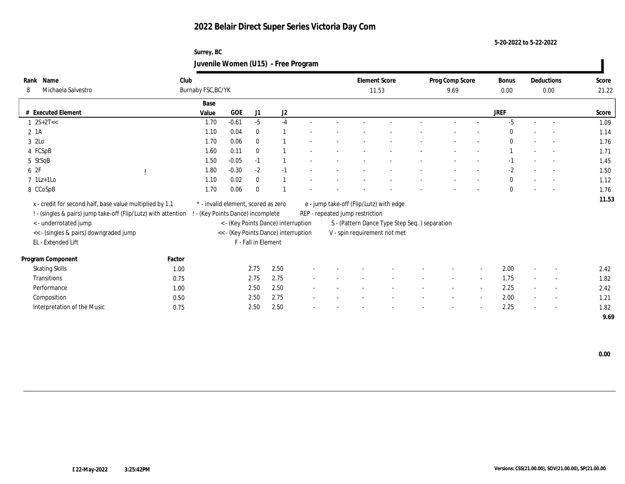**5-20-2022 to 5-22-2022**

## **Surrey, BC Juvenile Women (U15) - Free Program**

| Name<br>Rank                                                   | Club   |                                     |                               |                     |                                      |                              |                                 | <b>Element Score</b>                          | Prog Comp Score |                          | Bonus        |        | Deductions               | Score |
|----------------------------------------------------------------|--------|-------------------------------------|-------------------------------|---------------------|--------------------------------------|------------------------------|---------------------------------|-----------------------------------------------|-----------------|--------------------------|--------------|--------|--------------------------|-------|
| Michaela Salvestro<br>8                                        |        | Burnaby FSC, BC/YK                  |                               |                     |                                      |                              |                                 | 11.53                                         | 9.69            |                          | 0.00         |        | 0.00                     | 21.22 |
|                                                                |        | Base                                |                               |                     |                                      |                              |                                 |                                               |                 |                          |              |        |                          |       |
| # Executed Element                                             |        | Value                               | GOE                           | J1                  | J2                                   |                              |                                 |                                               |                 |                          | <b>JREF</b>  |        |                          | Score |
| $1 \quad 2S+2T<<$                                              |        | 1.70                                | $-0.61$                       | $-5$                | $-4$                                 |                              |                                 |                                               |                 |                          | $-5$         | $\sim$ | $\sim$                   | 1.09  |
| $2 \; 1A$                                                      |        | 1.10                                | 0.04                          | $\bf{0}$            |                                      |                              |                                 |                                               |                 |                          | $\Omega$     |        | $\sim$                   | 1.14  |
| 3 2Lo                                                          |        | 1.70                                | 0.06                          | $\mathbf{0}$        |                                      |                              |                                 |                                               |                 |                          | $\theta$     |        |                          | 1.76  |
| 4 FCSpB                                                        |        | 1.60                                | 0.11                          | $\bf{0}$            |                                      |                              |                                 |                                               |                 |                          |              |        | $\sim$                   | 1.71  |
| 5 StSqB                                                        |        | 1.50                                | $-0.05$                       | $-1$                |                                      |                              |                                 |                                               |                 |                          | $-1$         |        | $\overline{\phantom{a}}$ | 1.45  |
| 6 2F                                                           |        | 1.80                                | $-0.30$                       | $-2$                | $-1$                                 |                              |                                 |                                               |                 |                          | $-2$         |        | $\overline{\phantom{a}}$ | 1.50  |
| $7$ 1Lz+1Lo                                                    |        | 1.10                                | 0.02                          | $\bf{0}$            |                                      |                              |                                 |                                               |                 |                          | $\mathbf{0}$ |        |                          | 1.12  |
| 8 CCoSpB                                                       |        | 1.70                                | 0.06                          | $\bf{0}$            |                                      |                              |                                 |                                               |                 |                          | $\mathbf{0}$ |        |                          | 1.76  |
| x - credit for second half, base value multiplied by 1.1       |        | * - invalid element, scored as zero |                               |                     |                                      |                              |                                 | e - jump take-off (Flip/Lutz) with edge       |                 |                          |              |        |                          | 11.53 |
| ! - (singles & pairs) jump take-off (Flip/Lutz) with attention |        |                                     | (Key Points Dance) incomplete |                     |                                      |                              | REP - repeated jump restriction |                                               |                 |                          |              |        |                          |       |
| < - underrotated jump                                          |        |                                     |                               |                     | < - (Key Points Dance) interruption  |                              |                                 | S - (Pattern Dance Type Step Seq.) separation |                 |                          |              |        |                          |       |
| << - (singles & pairs) downgraded jump                         |        |                                     |                               |                     | << - (Key Points Dance) interruption |                              |                                 | V - spin requirement not met                  |                 |                          |              |        |                          |       |
| EL - Extended Lift                                             |        |                                     |                               | F - Fall in Element |                                      |                              |                                 |                                               |                 |                          |              |        |                          |       |
| Program Component                                              | Factor |                                     |                               |                     |                                      |                              |                                 |                                               |                 |                          |              |        |                          |       |
| <b>Skating Skills</b>                                          | 1.00   |                                     |                               | 2.75                | 2.50                                 |                              |                                 |                                               |                 | $\overline{\phantom{a}}$ | 2.00         |        | $\overline{\phantom{a}}$ | 2.42  |
| Transitions                                                    | 0.75   |                                     |                               | 2.75                | 2.75                                 | $\qquad \qquad \blacksquare$ |                                 |                                               | $\sim$          | $\sim$                   | 1.75         | $\sim$ | $\sim$                   | 1.82  |
| Performance                                                    | 1.00   |                                     |                               | 2.50                | 2.50                                 |                              |                                 |                                               |                 | $\overline{\phantom{a}}$ | 2.25         |        | $\overline{\phantom{a}}$ | 2.42  |
| Composition                                                    | 0.50   |                                     |                               | 2.50                | 2.75                                 |                              |                                 |                                               |                 | $\overline{\phantom{a}}$ | 2.00         |        | $\sim$                   | 1.21  |
| Interpretation of the Music                                    | 0.75   |                                     |                               | 2.50                | 2.50                                 |                              |                                 |                                               |                 |                          | 2.25         |        | $\sim$                   | 1.82  |
|                                                                |        |                                     |                               |                     |                                      |                              |                                 |                                               |                 |                          |              |        |                          | 9.69  |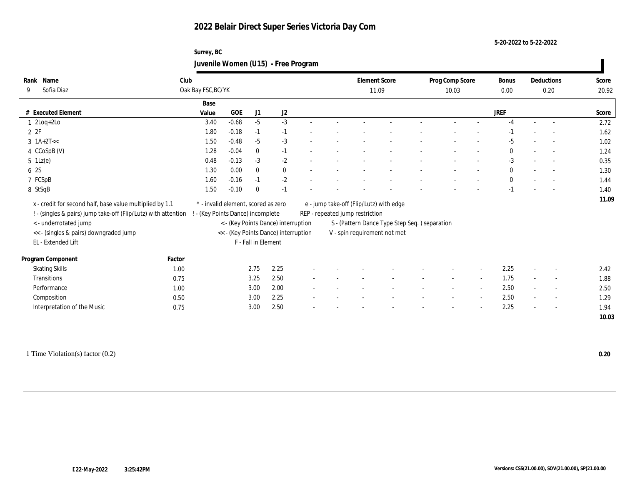#### **5-20-2022 to 5-22-2022**

## **Surrey, BC Juvenile Women (U15) - Free Program**

| Name<br>Rank                                                                                     | Club                                |         |                     |                                      |  | <b>Element Score</b>            |                                               | Prog Comp Score |                          | Bonus        | Deductions               | Score |
|--------------------------------------------------------------------------------------------------|-------------------------------------|---------|---------------------|--------------------------------------|--|---------------------------------|-----------------------------------------------|-----------------|--------------------------|--------------|--------------------------|-------|
| Sofia Diaz<br>9                                                                                  | Oak Bay FSC, BC/YK                  |         |                     |                                      |  | 11.09                           |                                               | 10.03           |                          | 0.00         | 0.20                     | 20.92 |
|                                                                                                  | Base                                |         |                     |                                      |  |                                 |                                               |                 |                          |              |                          |       |
| # Executed Element                                                                               | Value                               | GOE     | J1                  | J2                                   |  |                                 |                                               |                 |                          | <b>JREF</b>  |                          | Score |
| $1 \cdot 2Log + 2Lo$                                                                             | 3.40                                | $-0.68$ | $-5$                | $-3$                                 |  |                                 |                                               |                 |                          | -4           |                          | 2.72  |
| 2P                                                                                               | 1.80                                | $-0.18$ | $-1$                | $-1$                                 |  |                                 |                                               |                 |                          | -1           |                          | 1.62  |
| $3 \text{ 1A+2T}<<$                                                                              | 1.50                                | $-0.48$ | $-5$                | $-3$                                 |  |                                 |                                               |                 |                          | $-5$         |                          | 1.02  |
| 4 CCoSpB (V)                                                                                     | 1.28                                | $-0.04$ | $\mathbf{0}$        | $-1$                                 |  |                                 |                                               |                 |                          | $\mathbf{0}$ |                          | 1.24  |
| $5 \text{ } 1\text{Lz}(e)$                                                                       | 0.48                                | $-0.13$ | $-3$                | $-2$                                 |  |                                 |                                               |                 |                          | $-3$         | $\sim$                   | 0.35  |
| 6 2S                                                                                             | 1.30                                | 0.00    | $\mathbf{0}$        | $\mathbf{0}$                         |  |                                 |                                               |                 |                          | $\mathbf{0}$ | $\sim$                   | 1.30  |
| 7 FCSpB                                                                                          | 1.60                                | $-0.16$ | $-1$                | $-2$                                 |  |                                 |                                               |                 |                          | $\mathbf{0}$ |                          | 1.44  |
| 8 StSqB                                                                                          | 1.50                                | $-0.10$ | $\mathbf{0}$        | $-1$                                 |  |                                 |                                               |                 |                          | $-1$         | $\overline{\phantom{a}}$ | 1.40  |
| x - credit for second half, base value multiplied by 1.1                                         | * - invalid element, scored as zero |         |                     |                                      |  |                                 | e - jump take-off (Flip/Lutz) with edge       |                 |                          |              |                          | 11.09 |
| ! - (singles & pairs) jump take-off (Flip/Lutz) with attention ! - (Key Points Dance) incomplete |                                     |         |                     |                                      |  | REP - repeated jump restriction |                                               |                 |                          |              |                          |       |
| <- underrotated jump                                                                             |                                     |         |                     | < - (Key Points Dance) interruption  |  |                                 | S - (Pattern Dance Type Step Seq.) separation |                 |                          |              |                          |       |
| << - (singles & pairs) downgraded jump                                                           |                                     |         |                     | << - (Key Points Dance) interruption |  |                                 | V - spin requirement not met                  |                 |                          |              |                          |       |
| EL - Extended Lift                                                                               |                                     |         | F - Fall in Element |                                      |  |                                 |                                               |                 |                          |              |                          |       |
| Program Component                                                                                | Factor                              |         |                     |                                      |  |                                 |                                               |                 |                          |              |                          |       |
| <b>Skating Skills</b>                                                                            | 1.00                                |         | 2.75                | 2.25                                 |  |                                 |                                               |                 |                          | 2.25         | $\overline{\phantom{a}}$ | 2.42  |
| Transitions                                                                                      | 0.75                                |         | 3.25                | 2.50                                 |  |                                 |                                               |                 | $\sim$                   | 1.75         | $\overline{\phantom{a}}$ | 1.88  |
| Performance                                                                                      | 1.00                                |         | 3.00                | 2.00                                 |  |                                 |                                               |                 | $\overline{\phantom{a}}$ | 2.50         | $\sim$                   | 2.50  |
| Composition                                                                                      | 0.50                                |         | 3.00                | 2.25                                 |  |                                 |                                               |                 | $\overline{\phantom{a}}$ | 2.50         | $\overline{\phantom{a}}$ | 1.29  |
| Interpretation of the Music                                                                      | 0.75                                |         | 3.00                | 2.50                                 |  |                                 |                                               |                 |                          | 2.25         | $\sim$                   | 1.94  |
|                                                                                                  |                                     |         |                     |                                      |  |                                 |                                               |                 |                          |              |                          | 10.03 |

1 Time Violation(s) factor (0.2) **0.20**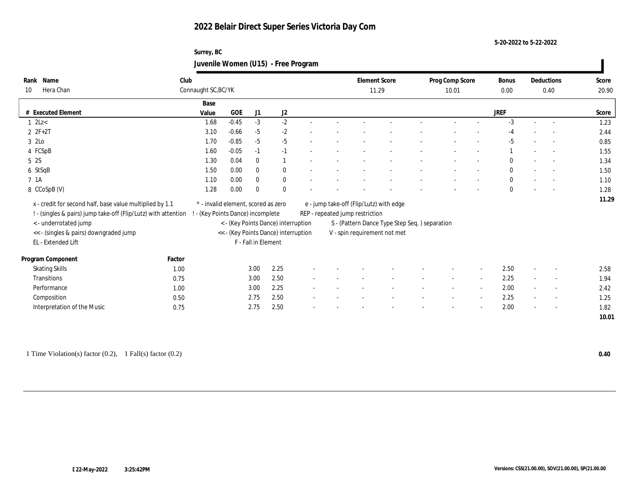#### **5-20-2022 to 5-22-2022**

## **Surrey, BC Juvenile Women (U15) - Free Program**

| Name<br>Rank                                                                                     | Club                |                                     |                     |              |                                      |        |                                 | <b>Element Score</b>                          | Prog Comp Score |                          | Bonus        |        | Deductions               | Score |
|--------------------------------------------------------------------------------------------------|---------------------|-------------------------------------|---------------------|--------------|--------------------------------------|--------|---------------------------------|-----------------------------------------------|-----------------|--------------------------|--------------|--------|--------------------------|-------|
| Hera Chan<br>10                                                                                  | Connaught SC, BC/YK |                                     |                     |              |                                      |        |                                 | 11.29                                         | 10.01           |                          | 0.00         |        | 0.40                     | 20.90 |
|                                                                                                  |                     | Base                                |                     |              |                                      |        |                                 |                                               |                 |                          |              |        |                          |       |
| # Executed Element                                                                               |                     | Value                               | <b>GOE</b>          | J1           | $\mathrm{J}2$                        |        |                                 |                                               |                 |                          | <b>JREF</b>  |        |                          | Score |
| $1$ $2Lz<$                                                                                       |                     | 1.68                                | $-0.45$             | $-3$         | $-2$                                 | $\sim$ |                                 |                                               |                 |                          | $-3$         | $\sim$ | $\sim$                   | 1.23  |
| $2 ZF+2T$                                                                                        |                     | 3.10                                | $-0.66$             | $-5$         | $-2$                                 |        |                                 |                                               |                 |                          | $-4$         |        | $\overline{\phantom{a}}$ | 2.44  |
| 3 2Lo                                                                                            |                     | 1.70                                | $-0.85$             | $-5$         | $-5$                                 |        |                                 |                                               |                 |                          | $-5$         |        |                          | 0.85  |
| 4 FCSpB                                                                                          |                     | 1.60                                | $-0.05$             | $-1$         | $-1$                                 |        |                                 |                                               |                 |                          |              |        | $\sim$                   | 1.55  |
| 5 2S                                                                                             |                     | 1.30                                | 0.04                | $\mathbf{0}$ | $\overline{1}$                       |        |                                 |                                               |                 |                          | $\Omega$     |        | $\sim$                   | 1.34  |
| 6 StSqB                                                                                          |                     | 1.50                                | 0.00                | $\mathbf{0}$ | $\mathbf{0}$                         |        |                                 |                                               |                 |                          | $\mathbf{0}$ |        | $\sim$                   | 1.50  |
| 7 1A                                                                                             |                     | 1.10                                | 0.00                | $\bf{0}$     | $\bf{0}$                             |        |                                 |                                               |                 |                          | $\mathbf{0}$ |        |                          | 1.10  |
| 8 CCoSpB (V)                                                                                     |                     | 1.28                                | 0.00                | $\bf{0}$     | $\mathbf{0}$                         |        |                                 |                                               |                 |                          | $\mathbf{0}$ |        |                          | 1.28  |
| x - credit for second half, base value multiplied by 1.1                                         |                     | * - invalid element, scored as zero |                     |              |                                      |        |                                 | e - jump take-off (Flip/Lutz) with edge       |                 |                          |              |        |                          | 11.29 |
| ! - (singles & pairs) jump take-off (Flip/Lutz) with attention ! - (Key Points Dance) incomplete |                     |                                     |                     |              |                                      |        | REP - repeated jump restriction |                                               |                 |                          |              |        |                          |       |
| < - underrotated jump                                                                            |                     |                                     |                     |              | < - (Key Points Dance) interruption  |        |                                 | S - (Pattern Dance Type Step Seq.) separation |                 |                          |              |        |                          |       |
| << - (singles & pairs) downgraded jump                                                           |                     |                                     |                     |              | << - (Key Points Dance) interruption |        |                                 | V - spin requirement not met                  |                 |                          |              |        |                          |       |
| EL - Extended Lift                                                                               |                     |                                     | F - Fall in Element |              |                                      |        |                                 |                                               |                 |                          |              |        |                          |       |
| Program Component                                                                                | Factor              |                                     |                     |              |                                      |        |                                 |                                               |                 |                          |              |        |                          |       |
| <b>Skating Skills</b>                                                                            | 1.00                |                                     |                     | 3.00         | 2.25                                 |        |                                 |                                               |                 | $\overline{\phantom{a}}$ | 2.50         |        | $\overline{\phantom{a}}$ | 2.58  |
| <b>Transitions</b>                                                                               | 0.75                |                                     |                     | 3.00         | 2.50                                 |        |                                 |                                               | $\sim$          | $\sim$                   | 2.25         | $\sim$ | $\sim$                   | 1.94  |
| Performance                                                                                      | 1.00                |                                     |                     | 3.00         | 2.25                                 |        |                                 |                                               |                 | $\overline{\phantom{a}}$ | 2.00         |        | $\overline{\phantom{a}}$ | 2.42  |
| Composition                                                                                      | 0.50                |                                     |                     | 2.75         | 2.50                                 |        |                                 |                                               |                 | $\overline{\phantom{a}}$ | 2.25         |        | $\sim$                   | 1.25  |
| Interpretation of the Music                                                                      | 0.75                |                                     |                     | 2.75         | 2.50                                 |        |                                 |                                               |                 | $\overline{\phantom{a}}$ | 2.00         |        | $\overline{\phantom{a}}$ | 1.82  |
|                                                                                                  |                     |                                     |                     |              |                                      |        |                                 |                                               |                 |                          |              |        |                          | 10.01 |

1 Time Violation(s) factor (0.2), 1 Fall(s) factor (0.2) **0.40**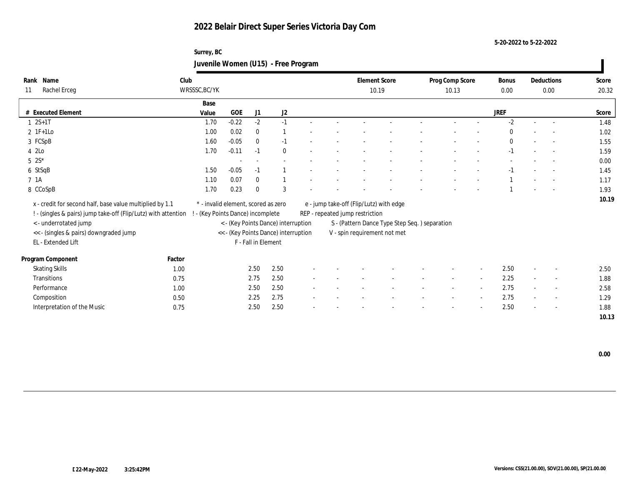**5-20-2022 to 5-22-2022**

## **Surrey, BC Juvenile Women (U15) - Free Program**

| Name<br>Rank                                                                                     | Club          |                                     |                     |                                      |  | <b>Element Score</b>            |                                               | Prog Comp Score |                          | Bonus        |        | Deductions               | Score |
|--------------------------------------------------------------------------------------------------|---------------|-------------------------------------|---------------------|--------------------------------------|--|---------------------------------|-----------------------------------------------|-----------------|--------------------------|--------------|--------|--------------------------|-------|
| Rachel Erceg<br>11                                                                               | WRSSSC, BC/YK |                                     |                     |                                      |  |                                 | 10.19                                         | 10.13           |                          | 0.00         |        | 0.00                     | 20.32 |
|                                                                                                  | Base          |                                     |                     |                                      |  |                                 |                                               |                 |                          |              |        |                          |       |
| # Executed Element                                                                               | Value         | <b>GOE</b>                          | J1                  | $\mathrm{J}2$                        |  |                                 |                                               |                 |                          | <b>JREF</b>  |        |                          | Score |
| $1 \ 2S+1T$                                                                                      | 1.70          | $-0.22$                             | $-2$                | $-1$                                 |  |                                 |                                               |                 |                          | $-2$         | $\sim$ | $\sim$                   | 1.48  |
| $2$ 1F+1Lo                                                                                       | 1.00          | 0.02                                | $\bf{0}$            |                                      |  |                                 |                                               |                 |                          | $\Omega$     |        | $\overline{\phantom{a}}$ | 1.02  |
| 3 FCSpB                                                                                          | 1.60          | $-0.05$                             | $\mathbf{0}$        | $-1$                                 |  |                                 |                                               |                 |                          | $\mathbf{0}$ |        |                          | 1.55  |
| 4 2Lo                                                                                            | 1.70          | $-0.11$                             | $-1$                | $\mathbf{0}$                         |  |                                 |                                               |                 |                          | $-1$         |        | $\sim$                   | 1.59  |
| $5 \ 2S^*$                                                                                       |               |                                     |                     |                                      |  |                                 |                                               |                 |                          |              |        |                          | 0.00  |
| 6 StSqB                                                                                          | 1.50          | $-0.05$                             | $-1$                |                                      |  |                                 |                                               |                 |                          | $-1$         |        | $\overline{\phantom{a}}$ | 1.45  |
| 7 1A                                                                                             | 1.10          | 0.07                                | $\bf{0}$            |                                      |  |                                 |                                               |                 |                          |              |        |                          | 1.17  |
| 8 CCoSpB                                                                                         | 1.70          | 0.23                                | $\bf{0}$            | 3                                    |  |                                 |                                               |                 |                          |              |        |                          | 1.93  |
| x - credit for second half, base value multiplied by 1.1                                         |               | * - invalid element, scored as zero |                     |                                      |  |                                 | e - jump take-off (Flip/Lutz) with edge       |                 |                          |              |        |                          | 10.19 |
| ! - (singles & pairs) jump take-off (Flip/Lutz) with attention ! - (Key Points Dance) incomplete |               |                                     |                     |                                      |  | REP - repeated jump restriction |                                               |                 |                          |              |        |                          |       |
| < - underrotated jump                                                                            |               |                                     |                     | < - (Key Points Dance) interruption  |  |                                 | S - (Pattern Dance Type Step Seq.) separation |                 |                          |              |        |                          |       |
| << - (singles & pairs) downgraded jump                                                           |               |                                     |                     | << - (Key Points Dance) interruption |  |                                 | V - spin requirement not met                  |                 |                          |              |        |                          |       |
| EL - Extended Lift                                                                               |               |                                     | F - Fall in Element |                                      |  |                                 |                                               |                 |                          |              |        |                          |       |
| Program Component                                                                                | Factor        |                                     |                     |                                      |  |                                 |                                               |                 |                          |              |        |                          |       |
| <b>Skating Skills</b>                                                                            | 1.00          |                                     | 2.50                | 2.50                                 |  |                                 |                                               |                 | $\overline{\phantom{a}}$ | 2.50         |        | $\overline{\phantom{a}}$ | 2.50  |
| <b>Transitions</b>                                                                               | 0.75          |                                     | 2.75                | 2.50                                 |  |                                 |                                               |                 | $\sim$                   | 2.25         |        |                          | 1.88  |
| Performance                                                                                      |               |                                     |                     |                                      |  |                                 |                                               | $\sim$          |                          | 2.75         | $\sim$ | $\sim$                   |       |
|                                                                                                  | 1.00          |                                     | 2.50<br>2.25        | 2.50<br>2.75                         |  |                                 |                                               |                 | $\overline{\phantom{a}}$ | 2.75         |        | $\overline{\phantom{a}}$ | 2.58  |
| Composition                                                                                      | 0.50          |                                     |                     |                                      |  |                                 |                                               |                 | $\overline{\phantom{a}}$ |              |        | $\sim$                   | 1.29  |
| Interpretation of the Music                                                                      | 0.75          |                                     | 2.50                | 2.50                                 |  |                                 |                                               |                 |                          | 2.50         |        | $\overline{\phantom{a}}$ | 1.88  |
|                                                                                                  |               |                                     |                     |                                      |  |                                 |                                               |                 |                          |              |        |                          | 10.13 |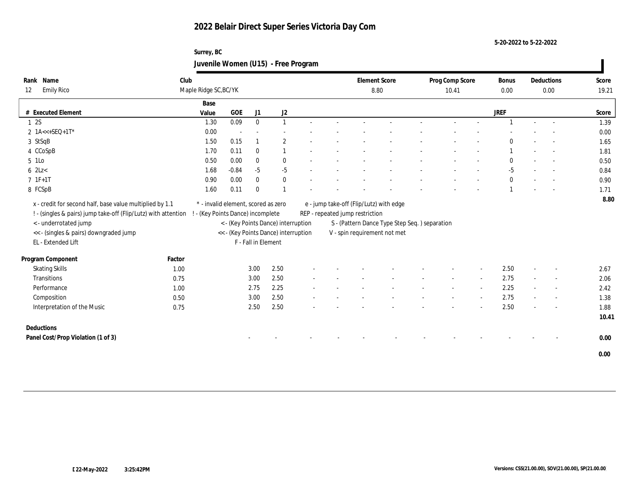**5-20-2022 to 5-22-2022**

## **Surrey, BC Juvenile Women (U15) - Free Program**

| Name<br>Rank                                                                                                                                                                                 | Club   |                                                                          |         |                     |                                                                             |  | <b>Element Score</b>                                                       |                                                                               | Prog Comp Score |                          | <b>Bonus</b> |        | Deductions | Score         |
|----------------------------------------------------------------------------------------------------------------------------------------------------------------------------------------------|--------|--------------------------------------------------------------------------|---------|---------------------|-----------------------------------------------------------------------------|--|----------------------------------------------------------------------------|-------------------------------------------------------------------------------|-----------------|--------------------------|--------------|--------|------------|---------------|
| <b>Emily Rico</b><br>12                                                                                                                                                                      |        | Maple Ridge SC, BC/YK                                                    |         |                     |                                                                             |  | 8.80                                                                       |                                                                               | 10.41           |                          | 0.00         |        | 0.00       | 19.21         |
|                                                                                                                                                                                              |        | Base                                                                     |         |                     |                                                                             |  |                                                                            |                                                                               |                 |                          |              |        |            |               |
| # Executed Element                                                                                                                                                                           |        | Value                                                                    | GOE     | J1                  | J2                                                                          |  |                                                                            |                                                                               |                 |                          | <b>JREF</b>  |        |            | Score         |
| 12S                                                                                                                                                                                          |        | 1.30                                                                     | 0.09    | $\mathbf{0}$        | $\mathbf{1}$                                                                |  |                                                                            |                                                                               | $\sim$          |                          |              | $\sim$ | $\sim$     | 1.39          |
| 2 1A<<+SEQ+1T*                                                                                                                                                                               |        | 0.00                                                                     |         |                     |                                                                             |  |                                                                            |                                                                               |                 |                          |              |        |            | 0.00          |
| 3 StSqB                                                                                                                                                                                      |        | 1.50                                                                     | 0.15    | 1                   | $\mathbf{2}$                                                                |  |                                                                            |                                                                               |                 |                          | $\Omega$     |        |            | 1.65          |
| 4 CCoSpB                                                                                                                                                                                     |        | 1.70                                                                     | 0.11    | $\mathbf{0}$        | 1                                                                           |  |                                                                            |                                                                               |                 |                          |              |        |            | 1.81          |
| 5 1Lo                                                                                                                                                                                        |        | 0.50                                                                     | 0.00    | $\bf{0}$            | $\bf{0}$                                                                    |  |                                                                            |                                                                               |                 |                          | $\bf{0}$     |        |            | 0.50          |
| $6$ 2Lz $<$                                                                                                                                                                                  |        | 1.68                                                                     | $-0.84$ | $-5$                | $-5$                                                                        |  |                                                                            |                                                                               |                 |                          | $-5$         |        |            | 0.84          |
| $7 1F+1T$                                                                                                                                                                                    |        | 0.90                                                                     | 0.00    | $\bf{0}$            | $\bf{0}$                                                                    |  |                                                                            |                                                                               |                 |                          | $\mathbf{0}$ |        |            | 0.90          |
| 8 FCSpB                                                                                                                                                                                      |        | 1.60                                                                     | 0.11    | $\mathbf{0}$        | $\overline{1}$                                                              |  |                                                                            |                                                                               |                 |                          |              |        |            | 1.71          |
| x - credit for second half, base value multiplied by 1.1<br>! - (singles & pairs) jump take-off (Flip/Lutz) with attention<br><- underrotated jump<br><< - (singles & pairs) downgraded jump |        | * - invalid element, scored as zero<br>! - (Key Points Dance) incomplete |         |                     | < - (Key Points Dance) interruption<br><< - (Key Points Dance) interruption |  | e - jump take-off (Flip/Lutz) with edge<br>REP - repeated jump restriction | S - (Pattern Dance Type Step Seq.) separation<br>V - spin requirement not met |                 |                          |              |        |            | 8.80          |
| EL - Extended Lift                                                                                                                                                                           |        |                                                                          |         | F - Fall in Element |                                                                             |  |                                                                            |                                                                               |                 |                          |              |        |            |               |
| Program Component                                                                                                                                                                            | Factor |                                                                          |         |                     |                                                                             |  |                                                                            |                                                                               |                 |                          |              |        |            |               |
| <b>Skating Skills</b>                                                                                                                                                                        | 1.00   |                                                                          |         | 3.00                | 2.50                                                                        |  |                                                                            |                                                                               |                 |                          | 2.50         |        |            | 2.67          |
| Transitions                                                                                                                                                                                  | 0.75   |                                                                          |         | 3.00                | 2.50                                                                        |  |                                                                            |                                                                               |                 | $\sim$                   | 2.75         | $\sim$ | $\sim$     | 2.06          |
| Performance                                                                                                                                                                                  | 1.00   |                                                                          |         | 2.75                | 2.25                                                                        |  |                                                                            |                                                                               |                 | $\overline{\phantom{a}}$ | 2.25         |        | $\sim$     | 2.42          |
| Composition                                                                                                                                                                                  | 0.50   |                                                                          |         | 3.00                | 2.50                                                                        |  |                                                                            |                                                                               |                 |                          | 2.75         |        | $\sim$     | 1.38          |
| Interpretation of the Music                                                                                                                                                                  | 0.75   |                                                                          |         | 2.50                | 2.50                                                                        |  |                                                                            |                                                                               |                 |                          | 2.50         |        | $\sim$     | 1.88<br>10.41 |
| Deductions                                                                                                                                                                                   |        |                                                                          |         |                     |                                                                             |  |                                                                            |                                                                               |                 |                          |              |        |            |               |
| Panel Cost/Prop Violation (1 of 3)                                                                                                                                                           |        |                                                                          |         |                     |                                                                             |  |                                                                            |                                                                               |                 |                          |              |        |            | 0.00          |
|                                                                                                                                                                                              |        |                                                                          |         |                     |                                                                             |  |                                                                            |                                                                               |                 |                          |              |        |            | 0.00          |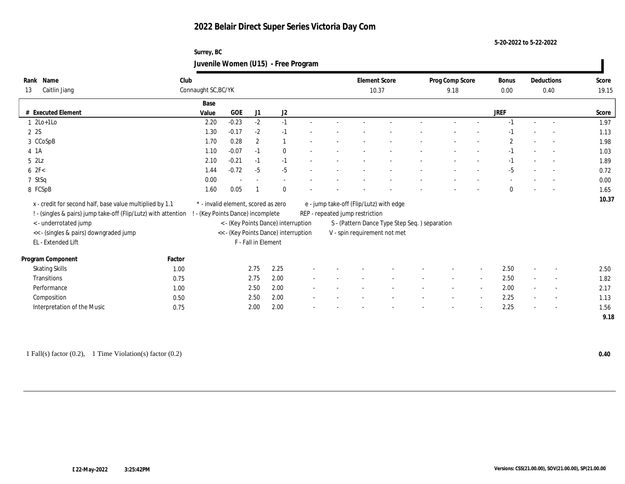#### **5-20-2022 to 5-22-2022**

## **Surrey, BC Juvenile Women (U15) - Free Program**

| Name<br>Rank                                                                                     | Club                |                                     |                     |                                      |                          |  | <b>Element Score</b>            |                                               |  | Prog Comp Score |                          | Bonus        |        | Deductions               | Score |  |
|--------------------------------------------------------------------------------------------------|---------------------|-------------------------------------|---------------------|--------------------------------------|--------------------------|--|---------------------------------|-----------------------------------------------|--|-----------------|--------------------------|--------------|--------|--------------------------|-------|--|
| 13<br>Caitlin Jiang                                                                              | Connaught SC, BC/YK |                                     |                     |                                      |                          |  | 10.37                           |                                               |  | 9.18            |                          | $0.00\,$     | 0.40   |                          | 19.15 |  |
|                                                                                                  | Base                |                                     |                     |                                      |                          |  |                                 |                                               |  |                 |                          |              |        |                          |       |  |
| # Executed Element                                                                               | Value               | GOE                                 | J1                  | J2                                   |                          |  |                                 |                                               |  |                 |                          | <b>JREF</b>  |        |                          | Score |  |
| $1 \t2Lo+1Lo$                                                                                    | 2.20                | $-0.23$                             | $-2$                | $-1$                                 |                          |  |                                 |                                               |  |                 |                          | $-1$         |        | $\sim$                   | 1.97  |  |
| 2 2S                                                                                             | 1.30                | $-0.17$                             | $-2$                | $-1$                                 |                          |  |                                 |                                               |  |                 |                          | -1           |        |                          | 1.13  |  |
| 3 CCoSpB                                                                                         | 1.70                | 0.28                                | $\boldsymbol{2}$    | $\overline{1}$                       |                          |  |                                 |                                               |  |                 |                          | $\mathbf{2}$ |        |                          | 1.98  |  |
| 4 1A                                                                                             | 1.10                | $-0.07$                             | $-1$                | $\mathbf{0}$                         |                          |  |                                 |                                               |  |                 |                          | $-1$         |        | $\overline{\phantom{a}}$ | 1.03  |  |
| 52Lz                                                                                             | 2.10                | $-0.21$                             | $-1$                | $-1$                                 |                          |  |                                 |                                               |  |                 |                          | $-1$         |        | $\sim$                   | 1.89  |  |
| 62F<                                                                                             | 1.44                | $-0.72$                             | $-5$                | $-5$                                 |                          |  |                                 |                                               |  |                 |                          | $-5$         |        | $\sim$                   | 0.72  |  |
| 7 StSq                                                                                           | 0.00                |                                     |                     |                                      |                          |  |                                 |                                               |  |                 |                          |              |        |                          | 0.00  |  |
| 8 FCSpB                                                                                          | 1.60                | 0.05                                |                     | $\mathbf{0}$                         |                          |  |                                 |                                               |  |                 |                          | $\mathbf{0}$ |        |                          | 1.65  |  |
| x - credit for second half, base value multiplied by 1.1                                         |                     | * - invalid element, scored as zero |                     |                                      |                          |  |                                 | e - jump take-off (Flip/Lutz) with edge       |  |                 |                          |              |        |                          | 10.37 |  |
| ! - (singles & pairs) jump take-off (Flip/Lutz) with attention ! - (Key Points Dance) incomplete |                     |                                     |                     |                                      |                          |  | REP - repeated jump restriction |                                               |  |                 |                          |              |        |                          |       |  |
| < - underrotated jump                                                                            |                     | < - (Key Points Dance) interruption |                     |                                      |                          |  |                                 | S - (Pattern Dance Type Step Seq.) separation |  |                 |                          |              |        |                          |       |  |
| << - (singles & pairs) downgraded jump                                                           |                     |                                     |                     | << - (Key Points Dance) interruption |                          |  | V - spin requirement not met    |                                               |  |                 |                          |              |        |                          |       |  |
| EL - Extended Lift                                                                               |                     |                                     | F - Fall in Element |                                      |                          |  |                                 |                                               |  |                 |                          |              |        |                          |       |  |
| Program Component                                                                                | Factor              |                                     |                     |                                      |                          |  |                                 |                                               |  |                 |                          |              |        |                          |       |  |
| <b>Skating Skills</b>                                                                            | 1.00                |                                     | 2.75                | 2.25                                 |                          |  |                                 |                                               |  |                 | $\overline{\phantom{a}}$ | 2.50         |        | $\overline{\phantom{a}}$ | 2.50  |  |
| <b>Transitions</b>                                                                               | 0.75                |                                     | 2.75                | 2.00                                 | $\overline{\phantom{a}}$ |  |                                 |                                               |  | $\sim$          | $\sim$                   | 2.50         | $\sim$ | $\sim$                   | 1.82  |  |
| Performance                                                                                      | 1.00                |                                     | 2.50                | 2.00                                 |                          |  |                                 |                                               |  |                 | $\sim$                   | 2.00         |        | $\overline{\phantom{a}}$ | 2.17  |  |
| Composition                                                                                      | 0.50                |                                     | 2.50                | 2.00                                 |                          |  |                                 |                                               |  |                 | $\overline{\phantom{a}}$ | 2.25         |        | $\sim$                   | 1.13  |  |
| Interpretation of the Music                                                                      | 0.75                |                                     | 2.00                | 2.00                                 |                          |  |                                 |                                               |  |                 |                          | 2.25         |        | $\overline{\phantom{a}}$ | 1.56  |  |
|                                                                                                  |                     |                                     |                     |                                      |                          |  |                                 |                                               |  |                 |                          |              |        |                          | 9.18  |  |

1 Fall(s) factor (0.2), 1 Time Violation(s) factor (0.2) **0.40**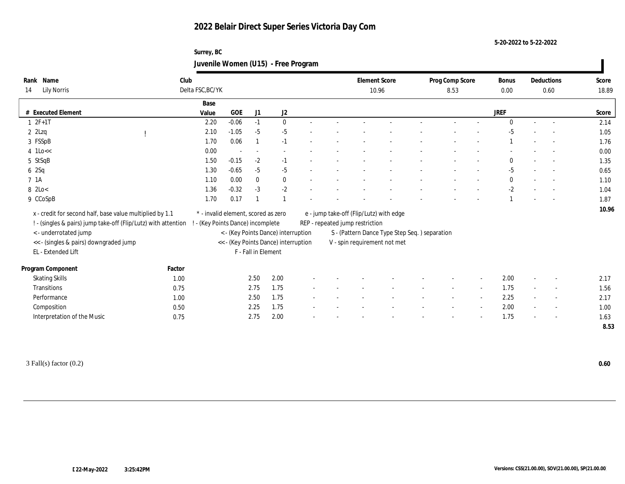**5-20-2022 to 5-22-2022**

## **Surrey, BC Juvenile Women (U15) - Free Program**

| Name<br>Rank                                                                            | Club   |                                                             |         |                          |                                     |  |  |                                                                               | <b>Element Score</b>                    |  | Prog Comp Score |                          | Bonus       |  | Deductions               | Score |
|-----------------------------------------------------------------------------------------|--------|-------------------------------------------------------------|---------|--------------------------|-------------------------------------|--|--|-------------------------------------------------------------------------------|-----------------------------------------|--|-----------------|--------------------------|-------------|--|--------------------------|-------|
| <b>Lily Norris</b><br>14                                                                |        | Delta FSC, BC/YK                                            |         |                          |                                     |  |  |                                                                               | 10.96                                   |  |                 | 8.53                     |             |  | 0.60                     | 18.89 |
|                                                                                         |        | Base                                                        |         |                          |                                     |  |  |                                                                               |                                         |  |                 |                          |             |  |                          |       |
| <b>Executed Element</b>                                                                 |        | Value                                                       | GOE     | J1                       | J <sub>2</sub>                      |  |  |                                                                               |                                         |  |                 |                          | <b>JREF</b> |  |                          | Score |
| $1 2F+1T$                                                                               |        | 2.20                                                        | $-0.06$ | $-1$                     | $\mathbf{0}$                        |  |  |                                                                               |                                         |  |                 |                          | $\Omega$    |  |                          | 2.14  |
| $2$ $2$ Lzq                                                                             |        | 2.10                                                        | $-1.05$ | $-5$                     | $-5$                                |  |  |                                                                               |                                         |  |                 |                          | $-5$        |  |                          | 1.05  |
| 3 FSSpB                                                                                 |        | 1.70                                                        | 0.06    |                          | $-1$                                |  |  |                                                                               |                                         |  |                 |                          |             |  | $\sim$                   | 1.76  |
| $4$ 1Lo $<<$                                                                            |        | 0.00                                                        |         | $\overline{\phantom{a}}$ |                                     |  |  |                                                                               |                                         |  |                 |                          |             |  |                          | 0.00  |
| 5 StSqB                                                                                 |        | 1.50                                                        | $-0.15$ | $-2$                     | $-1$                                |  |  |                                                                               |                                         |  |                 |                          | $\bf{0}$    |  | $\overline{\phantom{a}}$ | 1.35  |
| 6 2Sq                                                                                   |        | 1.30                                                        | $-0.65$ | $-5$                     | $-5$                                |  |  |                                                                               |                                         |  |                 |                          | $-5$        |  |                          | 0.65  |
| 7 1A                                                                                    |        | 1.10                                                        | 0.00    | $\mathbf{0}$             | $\bf{0}$                            |  |  |                                                                               |                                         |  |                 |                          | $\bf{0}$    |  |                          | 1.10  |
| 8 2Lo<                                                                                  |        | 1.36                                                        | $-0.32$ | $-3$                     | $-2$                                |  |  |                                                                               |                                         |  |                 |                          | $-2$        |  |                          | 1.04  |
| 9 CCoSpB                                                                                |        | 1.70                                                        | 0.17    |                          |                                     |  |  |                                                                               |                                         |  |                 |                          |             |  |                          | 1.87  |
| x - credit for second half, base value multiplied by 1.1                                |        | * - invalid element, scored as zero                         |         |                          |                                     |  |  |                                                                               | e - jump take-off (Flip/Lutz) with edge |  |                 |                          |             |  |                          | 10.96 |
|                                                                                         |        |                                                             |         |                          |                                     |  |  |                                                                               |                                         |  |                 |                          |             |  |                          |       |
| ! - (singles & pairs) jump take-off (Flip/Lutz) with attention<br>< - underrotated jump |        | ! - (Key Points Dance) incomplete                           |         |                          | < - (Key Points Dance) interruption |  |  | REP - repeated jump restriction                                               |                                         |  |                 |                          |             |  |                          |       |
| << - (singles & pairs) downgraded jump                                                  |        |                                                             |         |                          |                                     |  |  | S - (Pattern Dance Type Step Seq.) separation<br>V - spin requirement not met |                                         |  |                 |                          |             |  |                          |       |
| EL - Extended Lift                                                                      |        | << - (Key Points Dance) interruption<br>F - Fall in Element |         |                          |                                     |  |  |                                                                               |                                         |  |                 |                          |             |  |                          |       |
|                                                                                         |        |                                                             |         |                          |                                     |  |  |                                                                               |                                         |  |                 |                          |             |  |                          |       |
| Program Component                                                                       | Factor |                                                             |         |                          |                                     |  |  |                                                                               |                                         |  |                 |                          |             |  |                          |       |
| <b>Skating Skills</b>                                                                   | 1.00   |                                                             |         | 2.50                     | 2.00                                |  |  |                                                                               |                                         |  |                 | $\overline{\phantom{a}}$ | 2.00        |  | $\sim$                   | 2.17  |
| Transitions                                                                             | 0.75   |                                                             |         | 2.75                     | 1.75                                |  |  |                                                                               |                                         |  |                 |                          | 1.75        |  | $\overline{\phantom{a}}$ | 1.56  |
| Performance                                                                             | 1.00   |                                                             |         | 2.50                     | 1.75                                |  |  |                                                                               |                                         |  |                 |                          | 2.25        |  | $\overline{\phantom{a}}$ | 2.17  |
| Composition                                                                             | 0.50   |                                                             |         | 2.25                     | 1.75                                |  |  |                                                                               |                                         |  |                 |                          | 2.00        |  | $\sim$                   | 1.00  |
| Interpretation of the Music                                                             | 0.75   |                                                             |         | 2.75                     | 2.00                                |  |  |                                                                               |                                         |  |                 |                          | 1.75        |  |                          | 1.63  |
|                                                                                         |        |                                                             |         |                          |                                     |  |  |                                                                               |                                         |  |                 |                          |             |  |                          | 8.53  |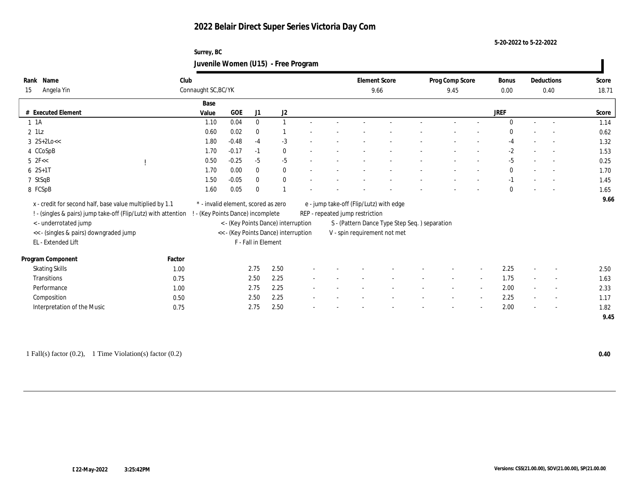**5-20-2022 to 5-22-2022**

## **Surrey, BC Juvenile Women (U15) - Free Program**

| Rank | Name                                                           | Club                |                                                                        |                     |              |  |  |                                 | <b>Element Score</b>                           |  | Prog Comp Score |        | Bonus        |        | Deductions               | Score |  |
|------|----------------------------------------------------------------|---------------------|------------------------------------------------------------------------|---------------------|--------------|--|--|---------------------------------|------------------------------------------------|--|-----------------|--------|--------------|--------|--------------------------|-------|--|
| 15   | Angela Yin                                                     | Connaught SC, BC/YK |                                                                        |                     |              |  |  |                                 | 9.66                                           |  | 9.45            | 0.00   | 0.40         |        | 18.71                    |       |  |
|      |                                                                | Base                |                                                                        |                     |              |  |  |                                 |                                                |  |                 |        |              |        |                          |       |  |
|      | # Executed Element                                             | Value               | GOE                                                                    | J1                  | J2           |  |  |                                 |                                                |  |                 |        | <b>JREF</b>  |        |                          | Score |  |
|      | $1 \t1A$                                                       | 1.10                | 0.04                                                                   | $\mathbf{0}$        | $\mathbf{1}$ |  |  |                                 |                                                |  |                 |        | $\theta$     |        | $\sim$                   | 1.14  |  |
|      | $2$ 1Lz                                                        | 0.60                | 0.02                                                                   | $\mathbf{0}$        |              |  |  |                                 |                                                |  |                 |        | $\Omega$     |        |                          | 0.62  |  |
|      | $3 \ 2S+2Lo <<$                                                | 1.80                | $-0.48$                                                                | $-4$                | $-3$         |  |  |                                 |                                                |  |                 |        | $-4$         |        |                          | 1.32  |  |
|      | 4 CCoSpB                                                       | 1.70                | $-0.17$                                                                | $-1$                | $\bf{0}$     |  |  |                                 |                                                |  |                 |        | $-2$         |        |                          | 1.53  |  |
|      | $5$ $2F <$                                                     | 0.50                | $-0.25$                                                                | $-5$                | $-5$         |  |  |                                 |                                                |  |                 |        | $-5$         |        | $\sim$                   | 0.25  |  |
|      | $62S+1T$                                                       | 1.70                | 0.00                                                                   | $\mathbf{0}$        | $\bf{0}$     |  |  |                                 |                                                |  |                 |        | $\mathbf{0}$ |        | $\sim$                   | 1.70  |  |
|      | 7 StSqB                                                        | 1.50                | $-0.05$                                                                | $\mathbf{0}$        | $\bf{0}$     |  |  |                                 |                                                |  |                 |        | $-1$         |        |                          | 1.45  |  |
|      | 8 FCSpB                                                        | 1.60                | 0.05                                                                   | $\mathbf{0}$        |              |  |  |                                 |                                                |  |                 |        | $\mathbf{0}$ |        |                          | 1.65  |  |
|      | x - credit for second half, base value multiplied by 1.1       |                     | * - invalid element, scored as zero                                    |                     |              |  |  |                                 | e - jump take-off (Flip/Lutz) with edge        |  |                 |        |              |        |                          | 9.66  |  |
|      | ! - (singles & pairs) jump take-off (Flip/Lutz) with attention |                     |                                                                        |                     |              |  |  | REP - repeated jump restriction |                                                |  |                 |        |              |        |                          |       |  |
|      | < - underrotated jump                                          |                     | - (Key Points Dance) incomplete<br>< - (Key Points Dance) interruption |                     |              |  |  |                                 | S - (Pattern Dance Type Step Seq. ) separation |  |                 |        |              |        |                          |       |  |
|      | << - (singles & pairs) downgraded jump                         |                     | << - (Key Points Dance) interruption                                   |                     |              |  |  |                                 | V - spin requirement not met                   |  |                 |        |              |        |                          |       |  |
|      | EL - Extended Lift                                             |                     |                                                                        | F - Fall in Element |              |  |  |                                 |                                                |  |                 |        |              |        |                          |       |  |
|      | Program Component                                              | Factor              |                                                                        |                     |              |  |  |                                 |                                                |  |                 |        |              |        |                          |       |  |
|      | <b>Skating Skills</b>                                          | 1.00                |                                                                        | 2.75                | 2.50         |  |  |                                 |                                                |  |                 |        | 2.25         |        | $\overline{\phantom{a}}$ | 2.50  |  |
|      | Transitions                                                    | 0.75                |                                                                        | 2.50                | 2.25         |  |  |                                 |                                                |  | $\sim$          | $\sim$ | 1.75         | $\sim$ | $\sim$                   | 1.63  |  |
|      | Performance                                                    | 1.00                |                                                                        | 2.75                | 2.25         |  |  |                                 |                                                |  |                 | $\sim$ | 2.00         |        | $\overline{\phantom{a}}$ | 2.33  |  |
|      | Composition                                                    | 0.50                |                                                                        | 2.50                | 2.25         |  |  |                                 |                                                |  |                 | $\sim$ | 2.25         |        | $\overline{\phantom{a}}$ | 1.17  |  |
|      | Interpretation of the Music                                    | 0.75                |                                                                        | 2.75                | 2.50         |  |  |                                 |                                                |  |                 |        | 2.00         |        | $\overline{\phantom{a}}$ | 1.82  |  |
|      |                                                                |                     |                                                                        |                     |              |  |  |                                 |                                                |  |                 |        |              |        |                          | 9.45  |  |

1 Fall(s) factor (0.2), 1 Time Violation(s) factor (0.2) **0.40**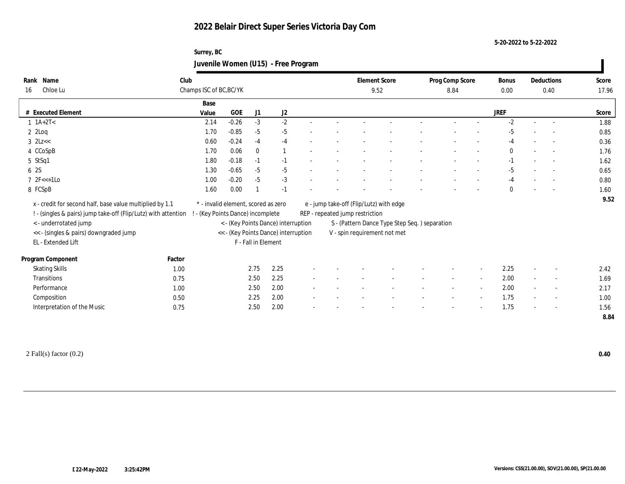**5-20-2022 to 5-22-2022**

## **Surrey, BC Juvenile Women (U15) - Free Program**

| Rank | Name                                                           | Club                    |                                                                          |              |                     |  |      |                                 | <b>Element Score</b>                           |  | Prog Comp Score |                          | Bonus        |                          | Deductions               | Score |  |  |
|------|----------------------------------------------------------------|-------------------------|--------------------------------------------------------------------------|--------------|---------------------|--|------|---------------------------------|------------------------------------------------|--|-----------------|--------------------------|--------------|--------------------------|--------------------------|-------|--|--|
| 16   | Chloe Lu                                                       | Champs ISC of BC, BC/YK |                                                                          |              |                     |  | 9.52 |                                 |                                                |  | 8.84            |                          |              | 0.40                     |                          | 17.96 |  |  |
|      |                                                                | Base                    |                                                                          |              |                     |  |      |                                 |                                                |  |                 |                          |              |                          |                          |       |  |  |
|      | # Executed Element                                             | Value                   | <b>GOE</b>                                                               | J1           | J2                  |  |      |                                 |                                                |  |                 |                          | <b>JREF</b>  |                          |                          | Score |  |  |
|      | $1 \text{ } 1A+2T <$                                           | 2.14                    | $-0.26$                                                                  | $-3$         | $-2$                |  |      |                                 |                                                |  |                 |                          | $-2$         | $\sim$                   |                          | 1.88  |  |  |
|      | $2$ $2$ Loq                                                    | 1.70                    | $-0.85$                                                                  | $-5$         | $-5$                |  |      |                                 |                                                |  |                 |                          | $-5$         |                          |                          | 0.85  |  |  |
|      | $3$ $2$ Lz<<                                                   | 0.60                    | $-0.24$                                                                  | $-4$         | $-4$                |  |      |                                 |                                                |  |                 |                          | $-4$         |                          |                          | 0.36  |  |  |
|      | 4 CCoSpB                                                       | 1.70                    | 0.06                                                                     | $\mathbf{0}$ | $\overline{1}$      |  |      |                                 |                                                |  |                 |                          | $\mathbf{0}$ |                          | $\sim$                   | 1.76  |  |  |
|      | 5 StSq1                                                        | 1.80                    | $-0.18$                                                                  | $-1$         | $-1$                |  |      |                                 |                                                |  |                 |                          | $-1$         |                          | $\sim$                   | 1.62  |  |  |
|      | 6 2S                                                           | 1.30                    | $-0.65$                                                                  | $-5$         | $-5$                |  |      |                                 |                                                |  |                 |                          | $-5$         |                          |                          | 0.65  |  |  |
|      | $7 \text{ } 2F \leq 1LO$                                       | 1.00                    | $-0.20$                                                                  | $-5$         | $-3$                |  |      |                                 |                                                |  |                 |                          | $-4$         |                          | $\overline{\phantom{a}}$ | 0.80  |  |  |
|      | 8 FCSpB                                                        | 1.60                    | 0.00                                                                     |              | $-1$                |  |      |                                 |                                                |  |                 |                          | $\theta$     |                          |                          | 1.60  |  |  |
|      | x - credit for second half, base value multiplied by 1.1       |                         | * - invalid element, scored as zero                                      |              |                     |  |      |                                 | e - jump take-off (Flip/Lutz) with edge        |  |                 |                          |              |                          |                          | 9.52  |  |  |
|      | ! - (singles & pairs) jump take-off (Flip/Lutz) with attention |                         |                                                                          |              |                     |  |      | REP - repeated jump restriction |                                                |  |                 |                          |              |                          |                          |       |  |  |
|      | < - underrotated jump                                          |                         | ! - (Key Points Dance) incomplete<br>< - (Key Points Dance) interruption |              |                     |  |      |                                 | S - (Pattern Dance Type Step Seq. ) separation |  |                 |                          |              |                          |                          |       |  |  |
|      | << - (singles & pairs) downgraded jump                         |                         | << - (Key Points Dance) interruption                                     |              |                     |  |      |                                 | V - spin requirement not met                   |  |                 |                          |              |                          |                          |       |  |  |
|      | EL - Extended Lift                                             |                         |                                                                          |              | F - Fall in Element |  |      |                                 |                                                |  |                 |                          |              |                          |                          |       |  |  |
|      |                                                                |                         |                                                                          |              |                     |  |      |                                 |                                                |  |                 |                          |              |                          |                          |       |  |  |
|      | Program Component                                              | Factor                  |                                                                          |              |                     |  |      |                                 |                                                |  |                 |                          |              |                          |                          |       |  |  |
|      | <b>Skating Skills</b>                                          | 1.00                    |                                                                          | 2.75         | 2.25                |  |      |                                 |                                                |  |                 |                          | 2.25         |                          |                          | 2.42  |  |  |
|      | Transitions                                                    | 0.75                    |                                                                          | 2.50         | 2.25                |  |      |                                 |                                                |  |                 | $\sim$                   | 2.00         | $\sim$                   | $\overline{\phantom{a}}$ | 1.69  |  |  |
|      | Performance                                                    | 1.00                    |                                                                          | 2.50         | 2.00                |  |      |                                 |                                                |  |                 | $\overline{\phantom{a}}$ | 2.00         | $\sim$                   | $\sim$                   | 2.17  |  |  |
|      | Composition                                                    | 0.50                    |                                                                          | 2.25         | 2.00                |  |      |                                 |                                                |  |                 |                          | 1.75         |                          | $\overline{\phantom{a}}$ | 1.00  |  |  |
|      | Interpretation of the Music                                    | 0.75                    |                                                                          | 2.50         | 2.00                |  |      |                                 |                                                |  |                 |                          | 1.75         | $\overline{\phantom{a}}$ | $\overline{\phantom{a}}$ | 1.56  |  |  |
|      |                                                                |                         |                                                                          |              |                     |  |      |                                 |                                                |  |                 |                          |              |                          |                          | 8.84  |  |  |